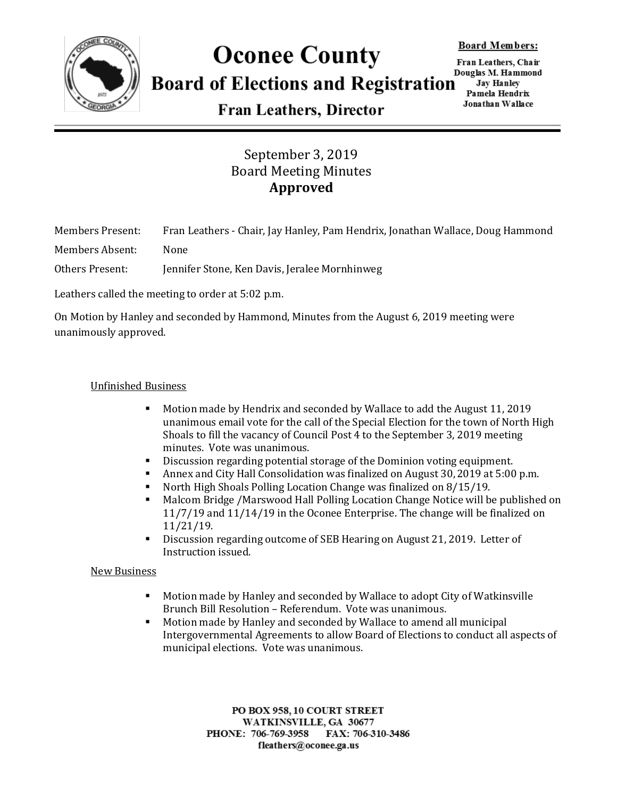

## **Oconee County Board of Elections and Registration**

Fran Leathers, Chair Douglas M. Hammond **Jay Hanley** Pamela Hendrix Jonathan Wallace

**Fran Leathers, Director** 

### September 3, 2019 Board Meeting Minutes **Approved**

Members Present: Fran Leathers - Chair, Jay Hanley, Pam Hendrix, Jonathan Wallace, Doug Hammond

Members Absent: None

Others Present: Jennifer Stone, Ken Davis, Jeralee Mornhinweg

Leathers called the meeting to order at 5:02 p.m.

On Motion by Hanley and seconded by Hammond, Minutes from the August 6, 2019 meeting were unanimously approved.

#### Unfinished Business

- Motion made by Hendrix and seconded by Wallace to add the August 11, 2019 unanimous email vote for the call of the Special Election for the town of North High Shoals to fill the vacancy of Council Post 4 to the September 3, 2019 meeting minutes. Vote was unanimous.
- Discussion regarding potential storage of the Dominion voting equipment.
- Annex and City Hall Consolidation was finalized on August 30, 2019 at 5:00 p.m.
- North High Shoals Polling Location Change was finalized on 8/15/19.
- Malcom Bridge /Marswood Hall Polling Location Change Notice will be published on 11/7/19 and 11/14/19 in the Oconee Enterprise. The change will be finalized on 11/21/19.
- Discussion regarding outcome of SEB Hearing on August 21, 2019. Letter of Instruction issued.

#### New Business

- Motion made by Hanley and seconded by Wallace to adopt City of Watkinsville Brunch Bill Resolution – Referendum. Vote was unanimous.
- Motion made by Hanley and seconded by Wallace to amend all municipal Intergovernmental Agreements to allow Board of Elections to conduct all aspects of municipal elections. Vote was unanimous.

PO BOX 958, 10 COURT STREET WATKINSVILLE, GA 30677 FAX: 706-310-3486 PHONE: 706-769-3958 fleathers@oconee.ga.us